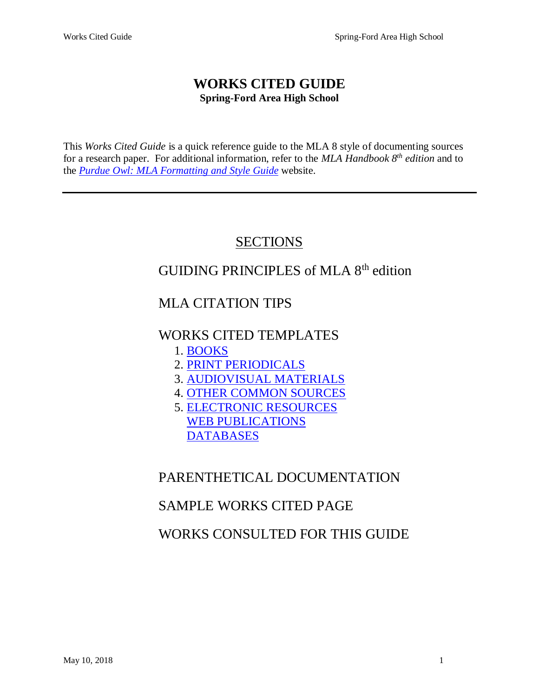# **WORKS CITED GUIDE Spring-Ford Area High School**

This *Works Cited Guide* is a quick reference guide to the MLA 8 style of documenting sources for a research paper. For additional information, refer to the *MLA Handbook 8 th edition* and to the *Purdue Owl: [MLA Formatting and Style Guide](https://owl.english.purdue.edu/owl/resource/747/01/)* website.

# **SECTIONS**

# GUIDING PRINCIPLES of MLA 8th edition

# MLA CITATION TIPS

# WORKS CITED TEMPLATES

- 1. [BOOKS](#page-7-0)
- 2. [PRINT PERIODICALS](#page-12-0)
- 3. [AUDIOVISUAL MATERIALS](#page-13-0)
- 4. [OTHER COMMON SOURCES](#page-17-0)
- 5. [ELECTRONIC RESOURCES](#page-18-0) [WEB PUBLICATIONS](#page-19-0) **[DATABASES](#page-24-0)**

# PARENTHETICAL DOCUMENTATION

# SAMPLE WORKS CITED PAGE

# WORKS CONSULTED FOR THIS GUIDE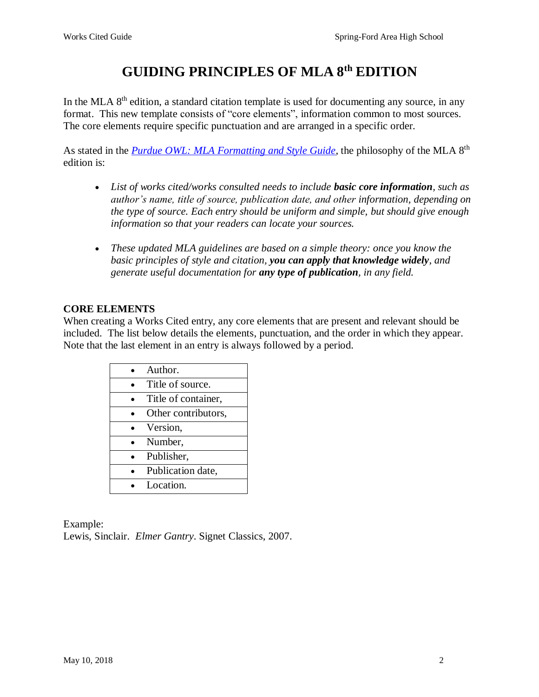# **GUIDING PRINCIPLES OF MLA 8th EDITION**

In the MLA  $8<sup>th</sup>$  edition, a standard citation template is used for documenting any source, in any format. This new template consists of "core elements", information common to most sources. The core elements require specific punctuation and are arranged in a specific order.

As stated in the *[Purdue OWL: MLA Formatting and Style Guide](https://owl.english.purdue.edu/owl/resource/747/01/)*, the philosophy of the MLA 8<sup>th</sup> edition is:

- *List of works cited/works consulted needs to include basic core information, such as author's name, title of source, publication date, and other information, depending on the type of source. Each entry should be uniform and simple, but should give enough information so that your readers can locate your sources.*
- *These updated MLA guidelines are based on a simple theory: once you know the basic principles of style and citation, you can apply that knowledge widely, and generate useful documentation for any type of publication, in any field.*

## **CORE ELEMENTS**

When creating a Works Cited entry, any core elements that are present and relevant should be included. The list below details the elements, punctuation, and the order in which they appear. Note that the last element in an entry is always followed by a period.

| Author.             |
|---------------------|
| Title of source.    |
| Title of container, |
| Other contributors, |
| Version,            |
| Number,             |
| Publisher,          |
| Publication date,   |
| Location.           |

Example: Lewis, Sinclair. *Elmer Gantry*. Signet Classics, 2007.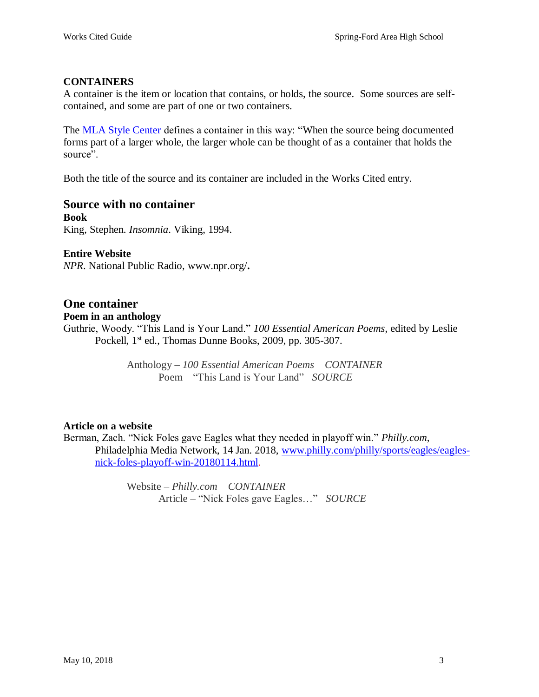## **CONTAINERS**

A container is the item or location that contains, or holds, the source. Some sources are selfcontained, and some are part of one or two containers.

The [MLA Style Center](https://style.mla.org/works-cited-a-quick-guide/) defines a container in this way: "When the source being documented forms part of a larger whole, the larger whole can be thought of as a container that holds the source".

Both the title of the source and its container are included in the Works Cited entry.

# **Source with no container**

**Book** King, Stephen. *Insomnia*. Viking, 1994.

**Entire Website** *NPR*. National Public Radio, www.npr.org/**.**

## **One container**

**Poem in an anthology**

Guthrie, Woody. "This Land is Your Land." *100 Essential American Poems*, edited by Leslie Pockell, 1<sup>st</sup> ed., Thomas Dunne Books, 2009, pp. 305-307.

> Anthology – *100 Essential American Poems CONTAINER* Poem – "This Land is Your Land" *SOURCE*

## **Article on a website**

Berman, Zach. "Nick Foles gave Eagles what they needed in playoff win." *Philly.com,*  Philadelphia Media Network, 14 Jan. 2018, [www.philly.com/philly/sports/eagles/eagles](http://www.philly.com/philly/sports/eagles/eagles-nick-foles-playoff-win-20180114.html)[nick-foles-playoff-win-20180114.html.](http://www.philly.com/philly/sports/eagles/eagles-nick-foles-playoff-win-20180114.html)

> Website – *Philly.com CONTAINER* Article – "Nick Foles gave Eagles…" *SOURCE*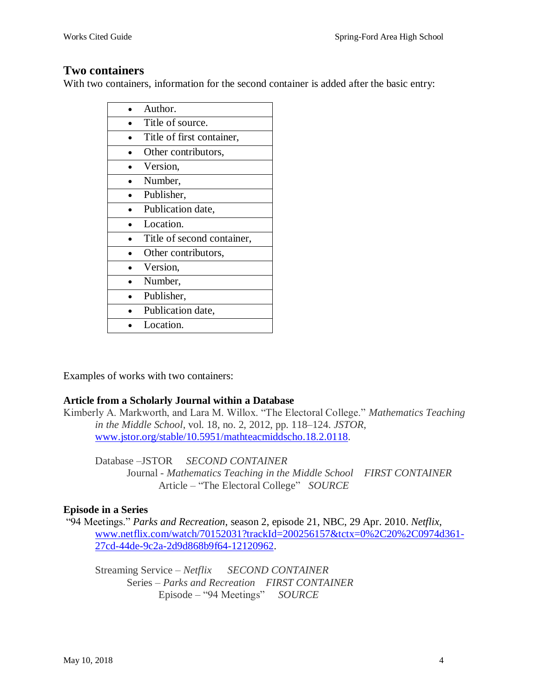# **Two containers**

With two containers, information for the second container is added after the basic entry:

| Author.                    |
|----------------------------|
| Title of source.           |
| Title of first container,  |
| Other contributors,        |
| Version,                   |
| Number,                    |
| Publisher,                 |
| Publication date,          |
| Location.                  |
| Title of second container, |
| Other contributors,        |
| Version,                   |
| Number,                    |
| Publisher,                 |
| Publication date,          |
| Location.                  |

Examples of works with two containers:

## **Article from a Scholarly Journal within a Database**

Kimberly A. Markworth, and Lara M. Willox. "The Electoral College." *Mathematics Teaching in the Middle School*, vol. 18, no. 2, 2012, pp. 118–124. *JSTOR*, [www.jstor.org/stable/10.5951/mathteacmiddscho.18.2.0118.](http://www.jstor.org/stable/10.5951/mathteacmiddscho.18.2.0118)

Database –JSTOR *SECOND CONTAINER* Journal - *Mathematics Teaching in the Middle School FIRST CONTAINER* Article – "The Electoral College" *SOURCE*

## **Episode in a Series**

"94 Meetings." *Parks and Recreation*, season 2, episode 21, NBC, 29 Apr. 2010. *Netflix*, [www.netflix.com/watch/70152031?trackId=200256157&tctx=0%2C20%2C0974d361-](http://www.netflix.com/watch/70152031?trackId=200256157&tctx=0%2C20%2C0974d361-27cd-44de-9c2a-2d9d868b9f64-12120962) [27cd-44de-9c2a-2d9d868b9f64-12120962.](http://www.netflix.com/watch/70152031?trackId=200256157&tctx=0%2C20%2C0974d361-27cd-44de-9c2a-2d9d868b9f64-12120962)

Streaming Service – *Netflix SECOND CONTAINER* Series – *Parks and Recreation FIRST CONTAINER* Episode – "94 Meetings" *SOURCE*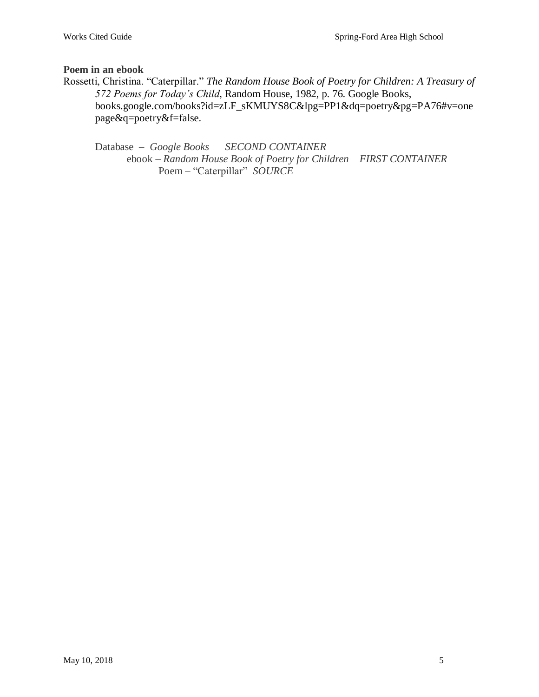**Poem in an ebook**

Rossetti, Christina. "Caterpillar." *The Random House Book of Poetry for Children: A Treasury of 572 Poems for Today's Child*, Random House, 1982, p. 76. Google Books, books.google.com/books?id=zLF\_sKMUYS8C&lpg=PP1&dq=poetry&pg=PA76#v=one page&q=poetry&f=false.

Database – *Google Books SECOND CONTAINER* ebook – *Random House Book of Poetry for Children FIRST CONTAINER* Poem – "Caterpillar" *SOURCE*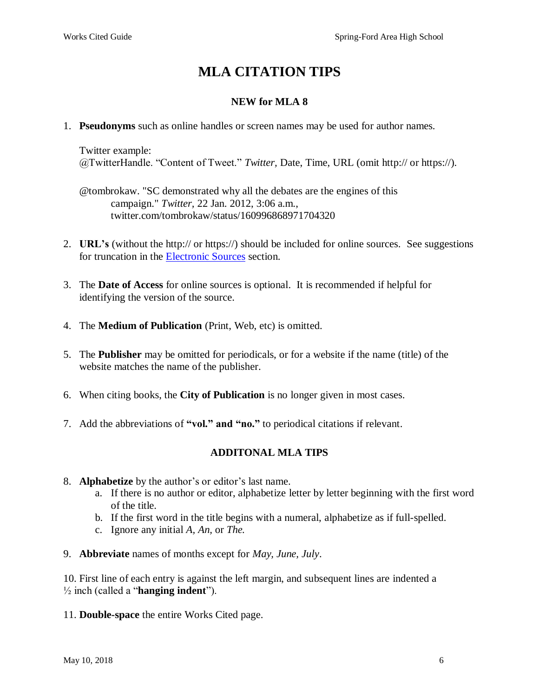# **MLA CITATION TIPS**

## **NEW for MLA 8**

1. **Pseudonyms** such as online handles or screen names may be used for author names.

Twitter example: @TwitterHandle. "Content of Tweet." *Twitter,* Date, Time, URL (omit http:// or https://).

@tombrokaw. "SC demonstrated why all the debates are the engines of this campaign." *Twitter,* 22 Jan. 2012, 3:06 a.m., twitter.com/tombrokaw/status/160996868971704320

- 2. **URL's** (without the http:// or https://) should be included for online sources. See suggestions for truncation in the [Electronic Sources](#page-18-0) section.
- 3. The **Date of Access** for online sources is optional. It is recommended if helpful for identifying the version of the source.
- 4. The **Medium of Publication** (Print, Web, etc) is omitted.
- 5. The **Publisher** may be omitted for periodicals, or for a website if the name (title) of the website matches the name of the publisher.
- 6. When citing books, the **City of Publication** is no longer given in most cases.
- 7. Add the abbreviations of **"vol." and "no."** to periodical citations if relevant.

## **ADDITONAL MLA TIPS**

- 8. **Alphabetize** by the author's or editor's last name.
	- a. If there is no author or editor, alphabetize letter by letter beginning with the first word of the title.
	- b. If the first word in the title begins with a numeral, alphabetize as if full-spelled.
	- c. Ignore any initial *A, An,* or *The.*
- 9. **Abbreviate** names of months except for *May, June, July*.

10. First line of each entry is against the left margin, and subsequent lines are indented a ½ inch (called a "**hanging indent**").

11. **Double-space** the entire Works Cited page.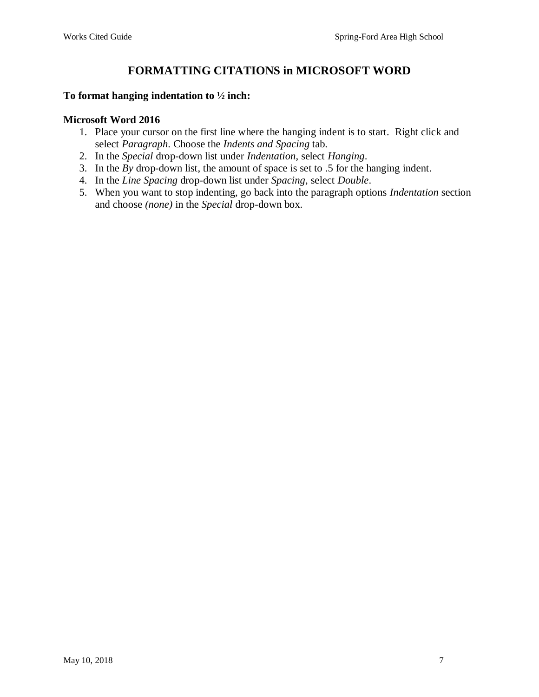# **FORMATTING CITATIONS in MICROSOFT WORD**

#### **To format hanging indentation to ½ inch:**

#### **Microsoft Word 2016**

- 1. Place your cursor on the first line where the hanging indent is to start. Right click and select *Paragraph*. Choose the *Indents and Spacing* tab.
- 2. In the *Special* drop-down list under *Indentation*, select *Hanging*.
- 3. In the *By* drop-down list, the amount of space is set to .5 for the hanging indent.
- 4. In the *Line Spacing* drop-down list under *Spacing*, select *Double*.
- 5. When you want to stop indenting, go back into the paragraph options *Indentation* section and choose *(none)* in the *Special* drop-down box.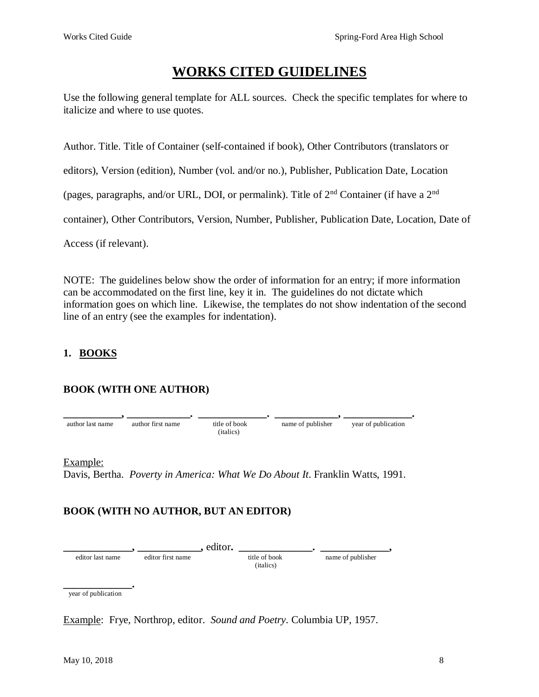# **WORKS CITED GUIDELINES**

Use the following general template for ALL sources. Check the specific templates for where to italicize and where to use quotes.

Author. Title. Title of Container (self-contained if book), Other Contributors (translators or

editors), Version (edition), Number (vol. and/or no.), Publisher, Publication Date, Location

(pages, paragraphs, and/or URL, DOI, or permalink). Title of  $2<sup>nd</sup>$  Container (if have a  $2<sup>nd</sup>$ 

container), Other Contributors, Version, Number, Publisher, Publication Date, Location, Date of

Access (if relevant).

NOTE: The guidelines below show the order of information for an entry; if more information can be accommodated on the first line, key it in. The guidelines do not dictate which information goes on which line. Likewise, the templates do not show indentation of the second line of an entry (see the examples for indentation).

# <span id="page-7-0"></span>**1. BOOKS**

## **BOOK (WITH ONE AUTHOR)**



Example: Davis, Bertha. *Poverty in America: What We Do About It*. Franklin Watts, 1991.

# **BOOK (WITH NO AUTHOR, BUT AN EDITOR)**

**\_\_\_\_\_\_\_\_\_\_\_\_\_, \_\_\_\_\_\_\_\_\_\_\_\_,** editor**. \_\_\_\_\_\_\_\_\_\_\_\_\_\_. \_\_\_\_\_\_\_\_\_\_\_\_\_,** editor last name editor first name title of book name of publisher (italics)

**\_\_\_\_\_\_\_\_\_\_\_\_\_.**  year of publication

Example:Frye, Northrop, editor. *Sound and Poetry*. Columbia UP, 1957.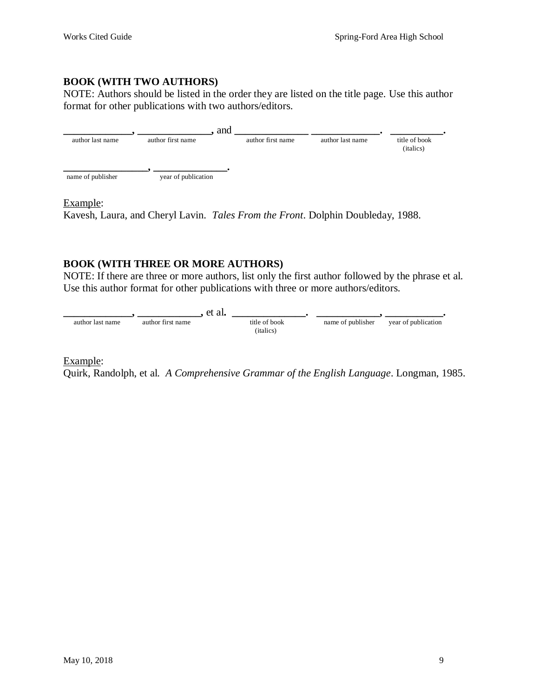#### **BOOK (WITH TWO AUTHORS)**

NOTE: Authors should be listed in the order they are listed on the title page. Use this author format for other publications with two authors/editors.

|                   |                     | and               |                  |                                     |
|-------------------|---------------------|-------------------|------------------|-------------------------------------|
| author last name  | author first name   | author first name | author last name | title of book<br>( <i>italics</i> ) |
| name of publisher | year of publication |                   |                  |                                     |

#### Example:

Kavesh, Laura, and Cheryl Lavin. *Tales From the Front*. Dolphin Doubleday, 1988.

## **BOOK (WITH THREE OR MORE AUTHORS)**

NOTE: If there are three or more authors, list only the first author followed by the phrase et al. Use this author format for other publications with three or more authors/editors.



#### Example:

Quirk, Randolph, et al. *A Comprehensive Grammar of the English Language*. Longman, 1985.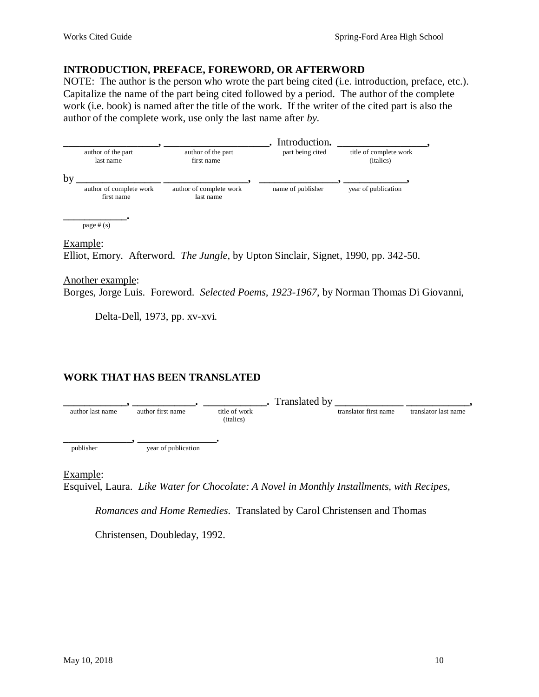#### **INTRODUCTION, PREFACE, FOREWORD, OR AFTERWORD**

NOTE: The author is the person who wrote the part being cited (i.e. introduction, preface, etc.). Capitalize the name of the part being cited followed by a period. The author of the complete work (i.e. book) is named after the title of the work. If the writer of the cited part is also the author of the complete work, use only the last name after *by*.

|                                       |                                      | Introduction.     |                                     |
|---------------------------------------|--------------------------------------|-------------------|-------------------------------------|
| author of the part<br>last name       | author of the part<br>first name     | part being cited  | title of complete work<br>(italics) |
|                                       |                                      |                   |                                     |
| author of complete work<br>first name | author of complete work<br>last name | name of publisher | year of publication                 |
|                                       |                                      |                   |                                     |
|                                       |                                      |                   |                                     |

Example:

Elliot, Emory. Afterword. *The Jungle*, by Upton Sinclair, Signet, 1990, pp. 342-50.

#### Another example:

Borges, Jorge Luis. Foreword. *Selected Poems, 1923-1967*, by Norman Thomas Di Giovanni,

Delta-Dell, 1973, pp. xv-xvi.

## **WORK THAT HAS BEEN TRANSLATED**

author first name <br>author first name  $\cdot$  **Letter of work C** translated by  $\frac{1}{\text{translation first name}}$  **Letter in the set of the set of work** author last name author first name title of work translator first name translator first name (italics) **\_\_\_\_\_\_\_\_\_\_\_\_\_, \_\_\_\_\_\_\_\_\_\_\_\_\_\_\_.**  publisher year of publication

Example:

Esquivel, Laura. *Like Water for Chocolate: A Novel in Monthly Installments, with Recipes,* 

*Romances and Home Remedies*. Translated by Carol Christensen and Thomas

Christensen, Doubleday, 1992.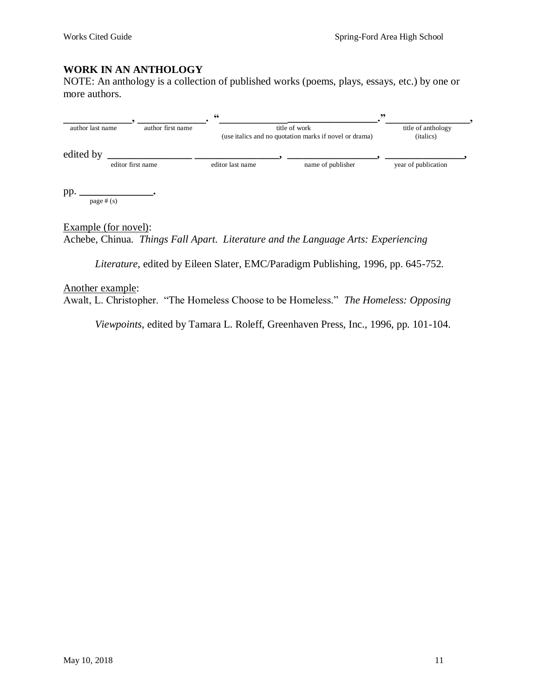## **WORK IN AN ANTHOLOGY**

NOTE: An anthology is a collection of published works (poems, plays, essays, etc.) by one or more authors.

|                     |                   | 66               |                                                                         | ,,                                       |
|---------------------|-------------------|------------------|-------------------------------------------------------------------------|------------------------------------------|
| author last name    | author first name |                  | title of work<br>(use italics and no quotation marks if novel or drama) | title of anthology<br>( <i>italics</i> ) |
| edited by           | editor first name | editor last name | name of publisher                                                       | year of publication                      |
| pp.<br>page $# (s)$ |                   |                  |                                                                         |                                          |

Example (for novel): Achebe, Chinua*. Things Fall Apart*. *Literature and the Language Arts: Experiencing* 

*Literature*, edited by Eileen Slater, EMC/Paradigm Publishing, 1996, pp. 645-752.

#### Another example:

Awalt, L. Christopher. "The Homeless Choose to be Homeless." *The Homeless: Opposing* 

*Viewpoints*, edited by Tamara L. Roleff, Greenhaven Press, Inc., 1996, pp. 101-104.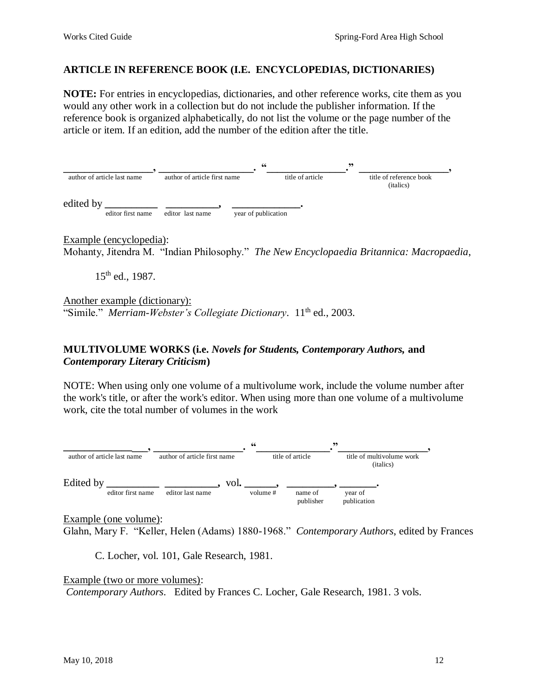## **ARTICLE IN REFERENCE BOOK (I.E. ENCYCLOPEDIAS, DICTIONARIES)**

**NOTE:** For entries in encyclopedias, dictionaries, and other reference works, cite them as you would any other work in a collection but do not include the publisher information. If the reference book is organized alphabetically, do not list the volume or the page number of the article or item. If an edition, add the number of the edition after the title.



Example (encyclopedia): Mohanty, Jitendra M. "Indian Philosophy." *The New Encyclopaedia Britannica: Macropaedia*,

15<sup>th</sup> ed., 1987.

Another example (dictionary): "Simile." *Merriam-Webster's Collegiate Dictionary*. 11<sup>th</sup> ed., 2003.

## **MULTIVOLUME WORKS (i.e.** *Novels for Students, Contemporary Authors,* **and** *Contemporary Literary Criticism***)**

NOTE: When using only one volume of a multivolume work, include the volume number after the work's title, or after the work's editor. When using more than one volume of a multivolume work, cite the total number of volumes in the work



Example (one volume):

Glahn, Mary F. "Keller, Helen (Adams) 1880-1968." *Contemporary Authors*, edited by Frances

C. Locher, vol. 101, Gale Research, 1981.

Example (two or more volumes): *Contemporary Authors*. Edited by Frances C. Locher, Gale Research, 1981. 3 vols.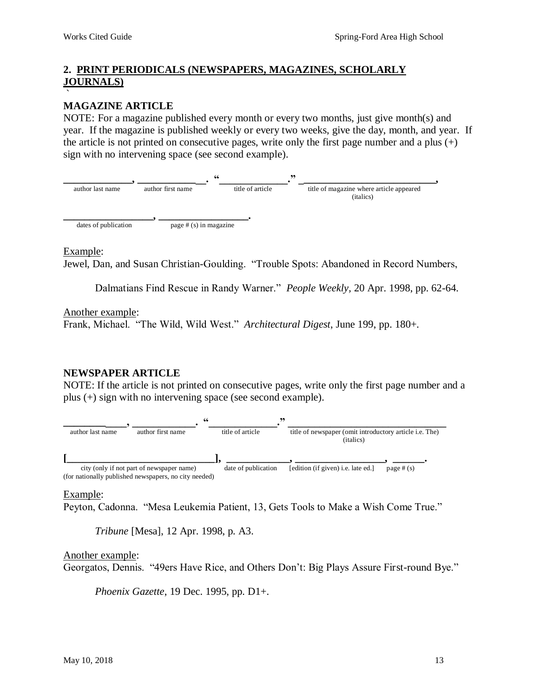#### <span id="page-12-0"></span>**2. PRINT PERIODICALS (NEWSPAPERS, MAGAZINES, SCHOLARLY JOURNALS)** `

#### **MAGAZINE ARTICLE**

NOTE: For a magazine published every month or every two months, just give month(s) and year. If the magazine is published weekly or every two weeks, give the day, month, and year. If the article is not printed on consecutive pages, write only the first page number and a plus  $(+)$ sign with no intervening space (see second example).



Example:

Jewel, Dan, and Susan Christian-Goulding. "Trouble Spots: Abandoned in Record Numbers,

Dalmatians Find Rescue in Randy Warner." *People Weekly,* 20 Apr. 1998, pp. 62-64.

Another example:

Frank, Michael. "The Wild, Wild West." *Architectural Digest*, June 199, pp. 180+.

## **NEWSPAPER ARTICLE**

NOTE: If the article is not printed on consecutive pages, write only the first page number and a plus (+) sign with no intervening space (see second example).



Example:

Peyton, Cadonna. "Mesa Leukemia Patient, 13, Gets Tools to Make a Wish Come True."

*Tribune* [Mesa], 12 Apr. 1998, p. A3.

#### Another example:

Georgatos, Dennis. "49ers Have Rice, and Others Don't: Big Plays Assure First-round Bye."

*Phoenix Gazette*, 19 Dec. 1995, pp. D1+.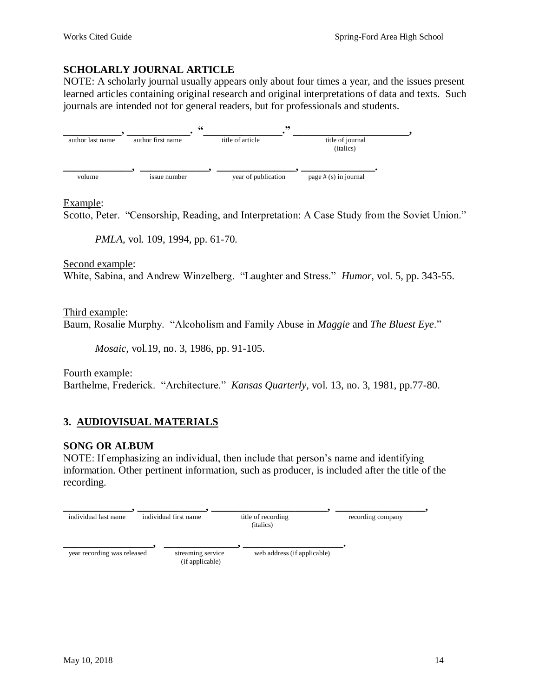## **SCHOLARLY JOURNAL ARTICLE**

NOTE: A scholarly journal usually appears only about four times a year, and the issues present learned articles containing original research and original interpretations of data and texts. Such journals are intended not for general readers, but for professionals and students.



## Example:

Scotto, Peter. "Censorship, Reading, and Interpretation: A Case Study from the Soviet Union."

*PMLA,* vol. 109, 1994, pp. 61-70.

Second example:

White, Sabina, and Andrew Winzelberg. "Laughter and Stress." *Humor*, vol. 5, pp. 343-55.

Third example: Baum, Rosalie Murphy. "Alcoholism and Family Abuse in *Maggie* and *The Bluest Eye*."

*Mosaic,* vol.19, no. 3, 1986, pp. 91-105.

Fourth example: Barthelme, Frederick. "Architecture." *Kansas Quarterly,* vol. 13, no. 3, 1981, pp.77-80.

# <span id="page-13-0"></span>**3. AUDIOVISUAL MATERIALS**

## **SONG OR ALBUM**

NOTE: If emphasizing an individual, then include that person's name and identifying information. Other pertinent information, such as producer, is included after the title of the recording.

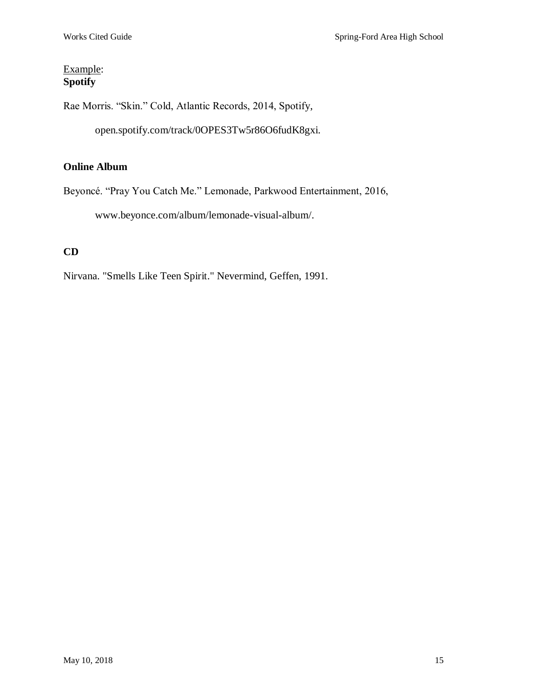# Example: **Spotify**

Rae Morris. "Skin." Cold, Atlantic Records, 2014, Spotify,

open.spotify.com/track/0OPES3Tw5r86O6fudK8gxi.

# **Online Album**

Beyoncé. "Pray You Catch Me." Lemonade, Parkwood Entertainment, 2016,

www.beyonce.com/album/lemonade-visual-album/.

# **CD**

Nirvana. "Smells Like Teen Spirit." Nevermind, Geffen, 1991.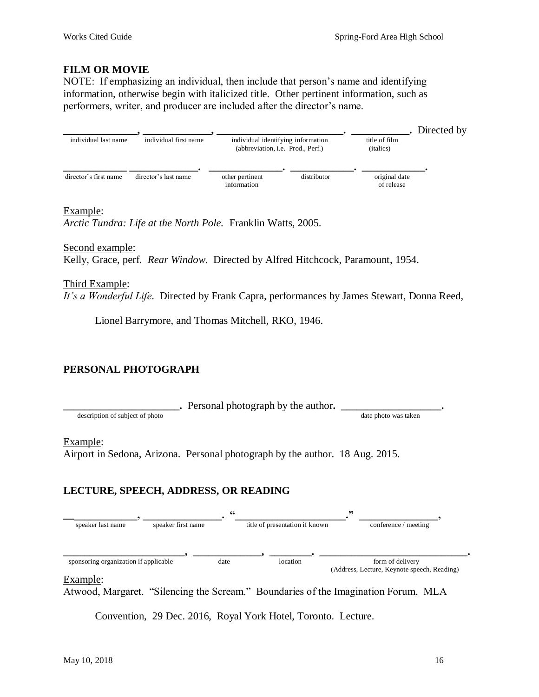## **FILM OR MOVIE**

NOTE: If emphasizing an individual, then include that person's name and identifying information, otherwise begin with italicized title. Other pertinent information, such as performers, writer, and producer are included after the director's name.



#### Example:

*Arctic Tundra: Life at the North Pole.* Franklin Watts, 2005.

Second example: Kelly, Grace, perf. *Rear Window*. Directed by Alfred Hitchcock, Paramount, 1954.

Third Example: *It's a Wonderful Life*. Directed by Frank Capra, performances by James Stewart, Donna Reed,

Lionel Barrymore, and Thomas Mitchell, RKO, 1946.

## **PERSONAL PHOTOGRAPH**

**\_\_\_\_\_\_\_\_\_\_\_\_\_\_\_\_\_\_\_\_\_\_.** Personal photograph by the author**. \_\_\_\_\_\_\_\_\_\_\_\_\_\_\_\_\_\_\_.**

description of subject of photo date photo date photo was taken

#### Example:

Airport in Sedona, Arizona. Personal photograph by the author. 18 Aug. 2015.

## **LECTURE, SPEECH, ADDRESS, OR READING**



#### Example:

Atwood, Margaret. "Silencing the Scream." Boundaries of the Imagination Forum, MLA

Convention, 29 Dec. 2016, Royal York Hotel, Toronto. Lecture.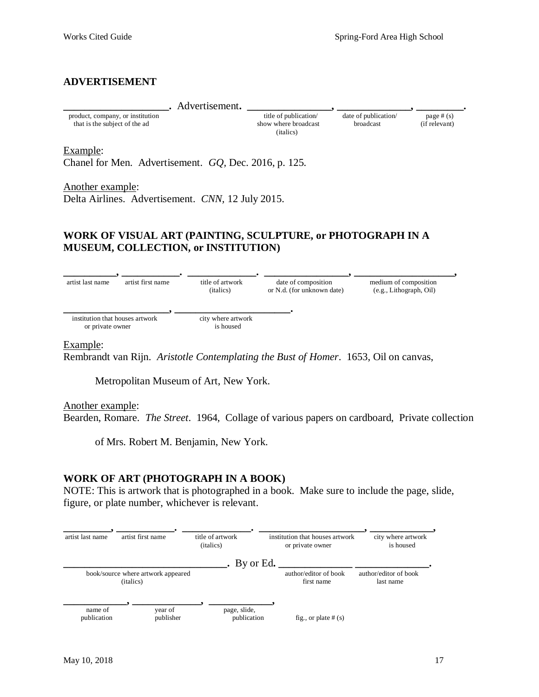#### **ADVERTISEMENT**

| Advertisement.                                                    |                                                           |                                          |                              |
|-------------------------------------------------------------------|-----------------------------------------------------------|------------------------------------------|------------------------------|
| product, company, or institution<br>that is the subject of the ad | title of publication<br>show where broadcast<br>(italics) | date of publication/<br><b>broadcast</b> | page $#(s)$<br>(if relevant) |

Example:

Chanel for Men. Advertisement. *GQ,* Dec. 2016, p. 125.

Another example: Delta Airlines. Advertisement. *CNN,* 12 July 2015.

## **WORK OF VISUAL ART (PAINTING, SCULPTURE, or PHOTOGRAPH IN A MUSEUM, COLLECTION, or INSTITUTION)**



Example:

Rembrandt van Rijn. *Aristotle Contemplating the Bust of Homer*. 1653, Oil on canvas,

Metropolitan Museum of Art, New York.

Another example:

Bearden, Romare. *The Street*. 1964, Collage of various papers on cardboard, Private collection

of Mrs. Robert M. Benjamin, New York.

#### **WORK OF ART (PHOTOGRAPH IN A BOOK)**

NOTE: This is artwork that is photographed in a book. Make sure to include the page, slide, figure, or plate number, whichever is relevant.

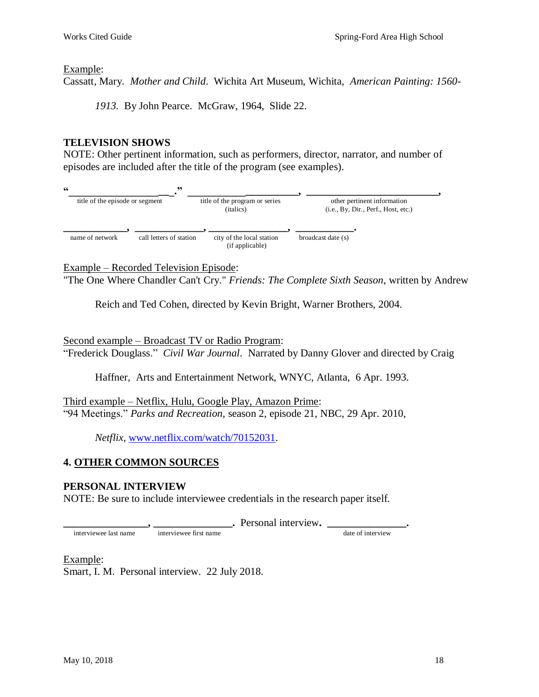#### Example:

Cassatt, Mary. *Mother and Child*. Wichita Art Museum, Wichita, *American Painting: 1560-*

*1913.* By John Pearce. McGraw, 1964, Slide 22.

## **TELEVISION SHOWS**

NOTE: Other pertinent information, such as performers, director, narrator, and number of episodes are included after the title of the program (see examples).



Example – Recorded Television Episode:

"The One Where Chandler Can't Cry." *Friends: The Complete Sixth Season*, written by Andrew

Reich and Ted Cohen, directed by Kevin Bright, Warner Brothers, 2004.

Second example – Broadcast TV or Radio Program:

"Frederick Douglass." *Civil War Journal*. Narrated by Danny Glover and directed by Craig

Haffner, Arts and Entertainment Network, WNYC, Atlanta, 6 Apr. 1993.

Third example – Netflix, Hulu, Google Play, Amazon Prime: "94 Meetings." *Parks and Recreation,* season 2, episode 21, NBC, 29 Apr. 2010,

*Netflix,* [www.netflix.com/watch/70152031.](http://www.netflix.com/watch/70152031)

## <span id="page-17-0"></span>**4. OTHER COMMON SOURCES**

## **PERSONAL INTERVIEW**

NOTE: Be sure to include interviewee credentials in the research paper itself.

**\_\_\_\_\_\_\_\_\_\_\_\_\_\_\_\_, \_\_\_\_\_\_\_\_\_\_\_\_\_\_\_.** Personal interview**. \_\_\_\_\_\_\_\_\_\_\_\_\_\_\_.**

# Example:

interviewee last name

Smart, I. M. Personal interview. 22 July 2018.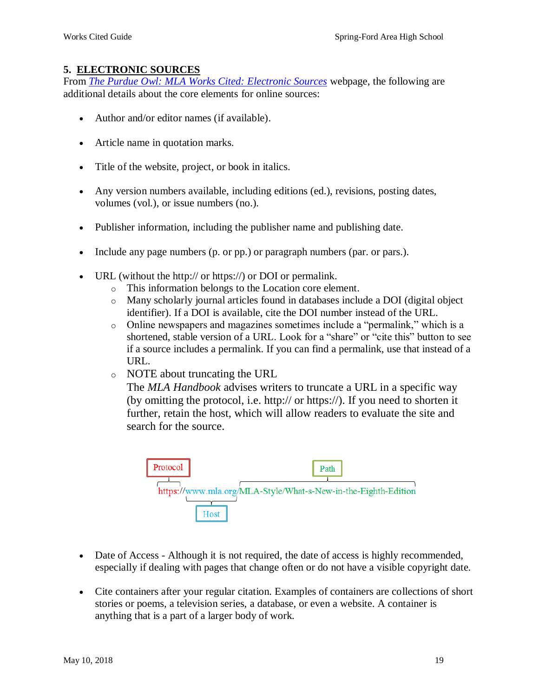## <span id="page-18-0"></span>**5. ELECTRONIC SOURCES**

From *[The Purdue Owl: MLA Works Cited: Electronic Sources](https://owl.english.purdue.edu/owl/resource/747/08/)* webpage, the following are additional details about the core elements for online sources:

- Author and/or editor names (if available).
- Article name in quotation marks.
- Title of the website, project, or book in italics.
- Any version numbers available, including editions (ed.), revisions, posting dates, volumes (vol.), or issue numbers (no.).
- Publisher information, including the publisher name and publishing date.
- Include any page numbers (p. or pp.) or paragraph numbers (par. or pars.).
- URL (without the http:// or https://) or DOI or permalink.
	- o This information belongs to the Location core element.
	- o Many scholarly journal articles found in databases include a DOI (digital object identifier). If a DOI is available, cite the DOI number instead of the URL.
	- o Online newspapers and magazines sometimes include a "permalink," which is a shortened, stable version of a URL. Look for a "share" or "cite this" button to see if a source includes a permalink. If you can find a permalink, use that instead of a URL.
	- o NOTE about truncating the URL

The *MLA Handbook* advises writers to truncate a URL in a specific way (by omitting the protocol, i.e. http:// or https://). If you need to shorten it further, retain the host, which will allow readers to evaluate the site and search for the source.



- Date of Access Although it is not required, the date of access is highly recommended, especially if dealing with pages that change often or do not have a visible copyright date.
- Cite containers after your regular citation. Examples of containers are collections of short stories or poems, a television series, a database, or even a website. A container is anything that is a part of a larger body of work.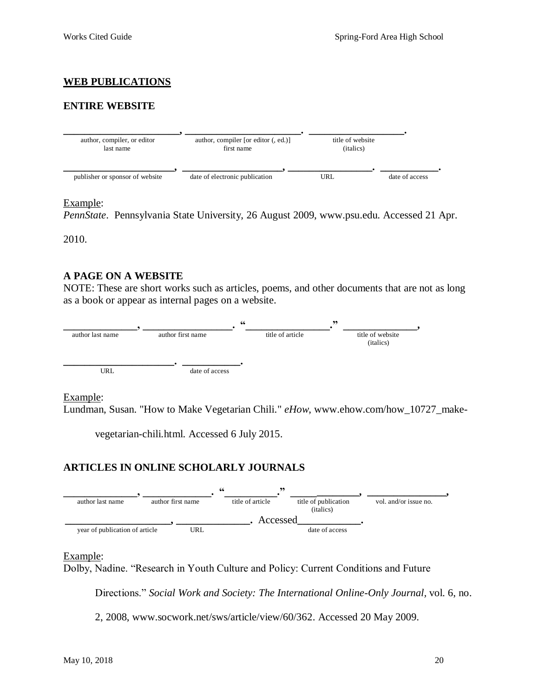## <span id="page-19-0"></span>**WEB PUBLICATIONS**

## **ENTIRE WEBSITE**



#### Example:

*PennState*. Pennsylvania State University, 26 August 2009, www.psu.edu. Accessed 21 Apr.

2010.

## **A PAGE ON A WEBSITE**

NOTE: These are short works such as articles, poems, and other documents that are not as long as a book or appear as internal pages on a website.



Example:

Lundman, Susan. "How to Make Vegetarian Chili." *eHow*, [www.ehow.com/how\\_10727\\_make-](http://www.ehow.com/how_10727_make-vegetarian-chili.html.%20Accessed%206%20July%202015)

[vegetarian-chili.html. Accessed 6 July 2015.](http://www.ehow.com/how_10727_make-vegetarian-chili.html.%20Accessed%206%20July%202015)

## **ARTICLES IN ONLINE SCHOLARLY JOURNALS**



#### Example:

Dolby, Nadine. "Research in Youth Culture and Policy: Current Conditions and Future

Directions." *Social Work and Society: The International Online-Only Journal,* vol. 6, no.

2, 2008, www.socwork.net/sws/article/view/60/362. Accessed 20 May 2009.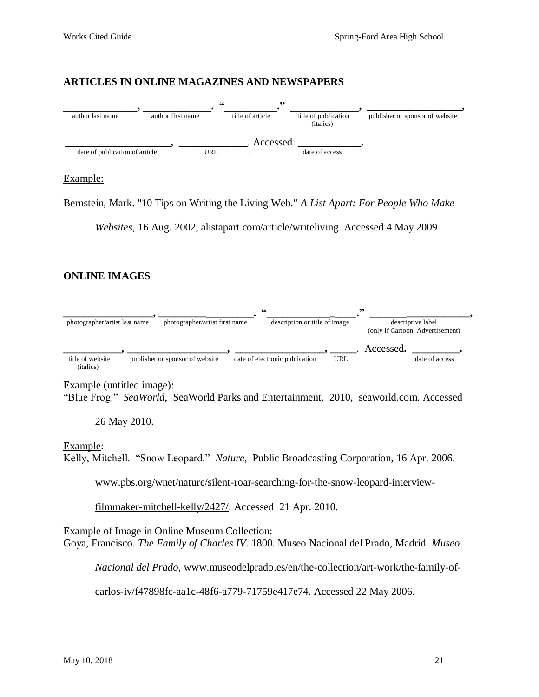#### **ARTICLES IN ONLINE MAGAZINES AND NEWSPAPERS**



#### Example:

Bernstein, Mark. "10 Tips on Writing the Living Web." *A List Apart: For People Who Make* 

*Websites*, 16 Aug. 2002, alistapart.com/article/writeliving. Accessed 4 May 2009

## **ONLINE IMAGES**



Example (untitled image):

"Blue Frog." *SeaWorld*, SeaWorld Parks and Entertainment, 2010, seaworld.com. Accessed

26 May 2010.

#### Example:

Kelly, Mitchell. "Snow Leopard." *Nature*, Public Broadcasting Corporation, 16 Apr. 2006.

[www.pbs.org/wnet/nature/silent-roar-searching-for-the-snow-leopard-interview-](http://www.pbs.org/wnet/nature/silent-roar-searching-for-the-snow-leopard-interview-filmmaker-mitchell-kelly/2427/)

[filmmaker-mitchell-kelly/2427/.](http://www.pbs.org/wnet/nature/silent-roar-searching-for-the-snow-leopard-interview-filmmaker-mitchell-kelly/2427/) Accessed 21 Apr. 2010.

Example of Image in Online Museum Collection: Goya, Francisco. *The Family of Charles IV*. 1800. Museo Nacional del Prado, Madrid. *Museo* 

*Nacional del Prado*, www.museodelprado.es/en/the-collection/art-work/the-family-of-

carlos-iv/f47898fc-aa1c-48f6-a779-71759e417e74. Accessed 22 May 2006.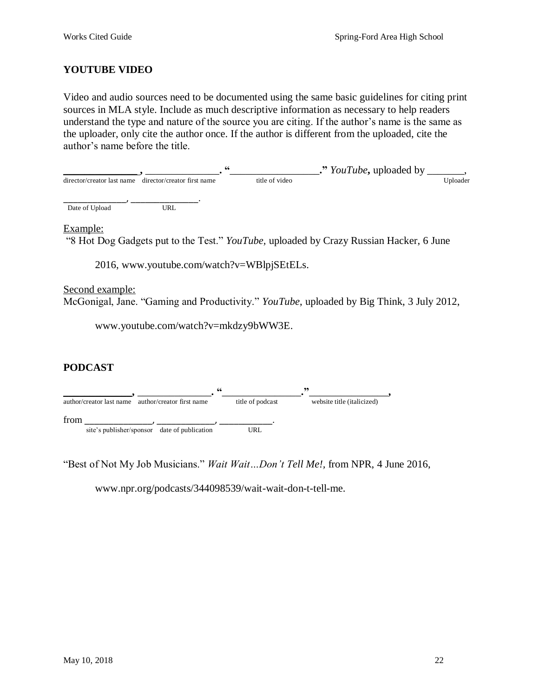## **YOUTUBE VIDEO**

Video and audio sources need to be documented using the same basic guidelines for citing print sources in MLA style. Include as much descriptive information as necessary to help readers understand the type and nature of the source you are citing. If the author's name is the same as the uploader, only cite the author once. If the author is different from the uploaded, cite the author's name before the title.

|                                                        | 66             | ." YouTube, uploaded by |          |
|--------------------------------------------------------|----------------|-------------------------|----------|
| director/creator last name director/creator first name | title of video |                         | Uploader |
|                                                        |                |                         |          |

Date of Upload URL

Example:

"8 Hot Dog Gadgets put to the Test." *YouTube,* uploaded by Crazy Russian Hacker, 6 June

2016, [www.youtube.com/watch?v=WBlpjSEtELs.](http://www.youtube.com/watch?v=WBlpjSEtELs)

Second example: McGonigal, Jane. "Gaming and Productivity." *YouTube*, uploaded by Big Think, 3 July 2012,

[www.youtube.com/watch?v=mkdzy9bWW3E.](http://www.youtube.com/watch?v=mkdzy9bWW3E)

## **PODCAST**



"Best of Not My Job Musicians." *Wait Wait…Don't Tell Me!,* from NPR, 4 June 2016,

www.npr.org/podcasts/344098539/wait-wait-don-t-tell-me.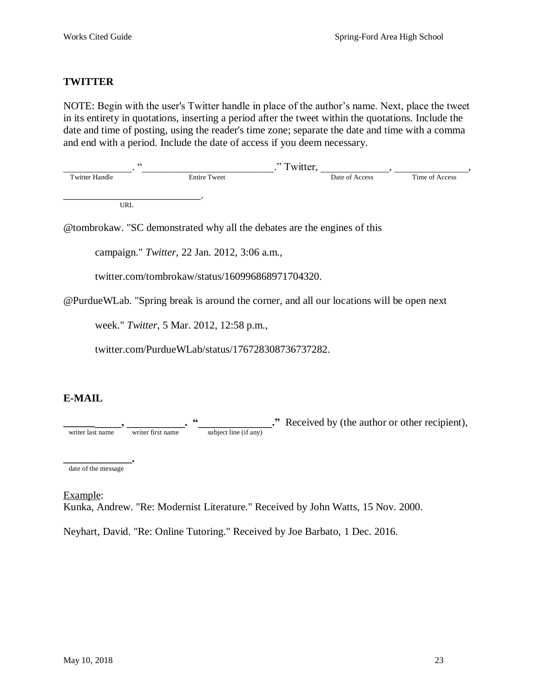## **TWITTER**

NOTE: Begin with the user's Twitter handle in place of the author's name. Next, place the tweet in its entirety in quotations, inserting a period after the tweet within the quotations. Include the date and time of posting, using the reader's time zone; separate the date and time with a comma and end with a period. Include the date of access if you deem necessary.

|                     | "Twitter,      |                |
|---------------------|----------------|----------------|
| <b>Entire Tweet</b> | Date of Access | Time of Access |
|                     |                |                |
|                     |                |                |

URL

@tombrokaw. "SC demonstrated why all the debates are the engines of this

campaign." *Twitter,* 22 Jan. 2012, 3:06 a.m.,

twitter.com/tombrokaw/status/160996868971704320.

@PurdueWLab. "Spring break is around the corner, and all our locations will be open next

week." *Twitter*, 5 Mar. 2012, 12:58 p.m.,

twitter.com/PurdueWLab/status/176728308736737282.

## **E-MAIL**

**EXECUTE:** The same of the same of the same of the same of the same of the same of the same of the same of the same of the same of the same of the same of the same of the same of the same of the same of the same of the sam writer last name writer first name subject line (if any)

**\_\_\_\_\_\_\_\_\_\_\_\_\_.**  date of the message

Example:

Kunka, Andrew. "Re: Modernist Literature." Received by John Watts, 15 Nov. 2000.

Neyhart, David. "Re: Online Tutoring." Received by Joe Barbato, 1 Dec. 2016.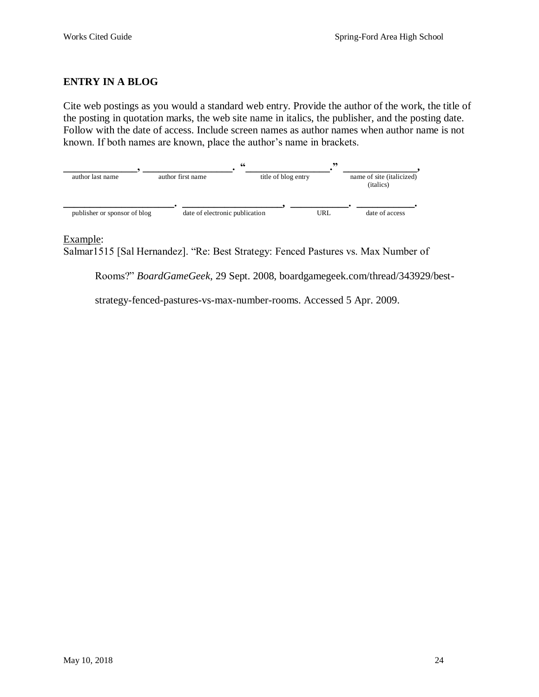## **ENTRY IN A BLOG**

Cite web postings as you would a standard web entry. Provide the author of the work, the title of the posting in quotation marks, the web site name in italics, the publisher, and the posting date. Follow with the date of access. Include screen names as author names when author name is not known. If both names are known, place the author's name in brackets.



## Example:

Salmar1515 [Sal Hernandez]. "Re: Best Strategy: Fenced Pastures vs. Max Number of

Rooms?" *BoardGameGeek*, 29 Sept. 2008, boardgamegeek.com/thread/343929/best-

strategy-fenced-pastures-vs-max-number-rooms. Accessed 5 Apr. 2009.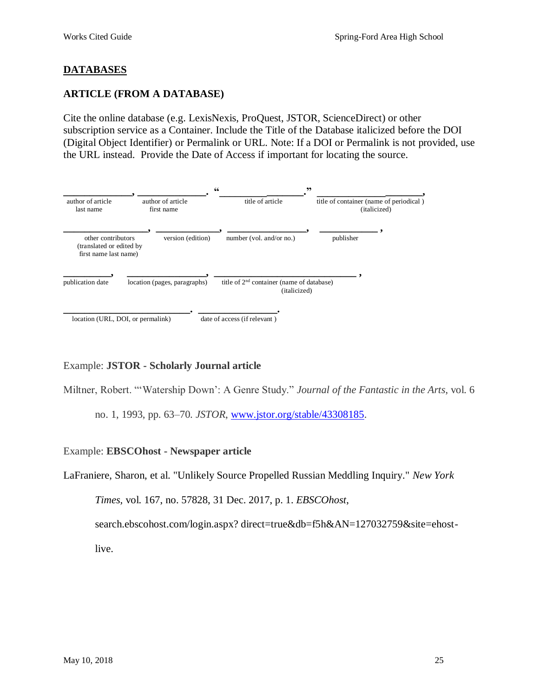# <span id="page-24-0"></span>**DATABASES**

## **ARTICLE (FROM A DATABASE)**

Cite the online database (e.g. LexisNexis, ProQuest, JSTOR, ScienceDirect) or other subscription service as a Container. Include the Title of the Database italicized before the DOI (Digital Object Identifier) or Permalink or URL. Note: If a DOI or Permalink is not provided, use the URL instead. Provide the Date of Access if important for locating the source.



## Example: **JSTOR - Scholarly Journal article**

Miltner, Robert. "'Watership Down': A Genre Study." *Journal of the Fantastic in the Arts*, vol. 6

no. 1, 1993, pp. 63–70. *JSTOR*, [www.jstor.org/stable/43308185.](http://www.jstor.org/stable/43308185)

## Example: **EBSCOhost - Newspaper article**

LaFraniere, Sharon, et al. "Unlikely Source Propelled Russian Meddling Inquiry." *New York* 

*Times,* vol. 167, no. 57828, 31 Dec. 2017, p. 1. *EBSCOhost*,

search.ebscohost.com/login.aspx? direct=true&db=f5h&AN=127032759&site=ehost-

live.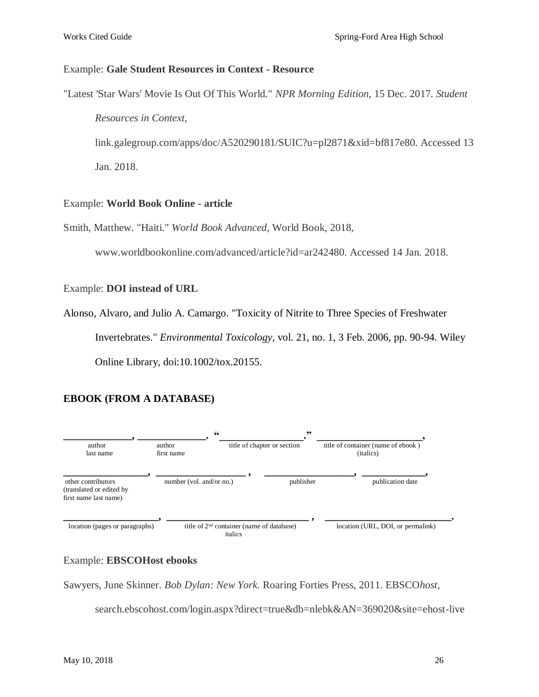#### Example: **Gale Student Resources in Context - Resource**

"Latest 'Star Wars' Movie Is Out Of This World." *NPR Morning Edition*, 15 Dec. 2017. *Student*

*Resources in Context*,

link.galegroup.com/apps/doc/A520290181/SUIC?u=pl2871&xid=bf817e80. Accessed 13 Jan. 2018.

#### Example: **World Book Online - article**

Smith, Matthew. "Haiti." *World Book Advanced*, World Book, 2018,

www.worldbookonline.com/advanced/article?id=ar242480. Accessed 14 Jan. 2018.

#### Example: **DOI instead of URL**

Alonso, Alvaro, and Julio A. Camargo. "Toxicity of Nitrite to Three Species of Freshwater Invertebrates." *Environmental Toxicology*, vol. 21, no. 1, 3 Feb. 2006, pp. 90-94. Wiley Online Library, doi:10.1002/tox.20155.

## **EBOOK (FROM A DATABASE)**



## Example: **EBSCOHost ebooks**

Sawyers, June Skinner. *Bob Dylan: New York*. Roaring Forties Press, 2011. EBSCO*host*,

search.ebscohost.com/login.aspx?direct=true&db=nlebk&AN=369020&site=ehost-live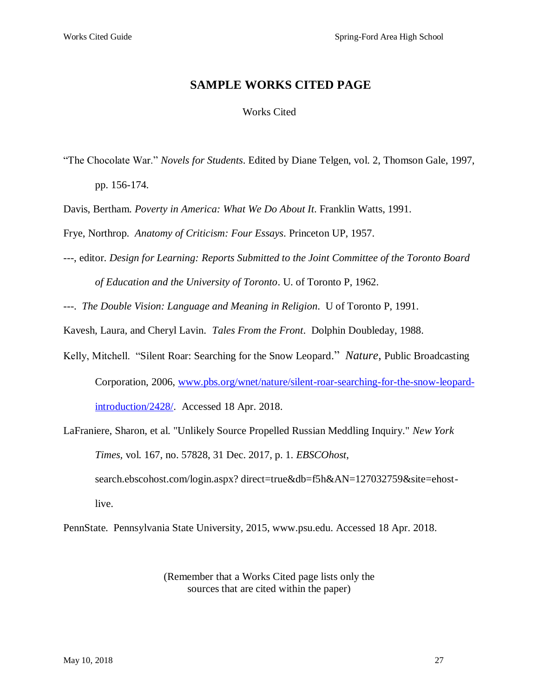## **SAMPLE WORKS CITED PAGE**

#### Works Cited

- "The Chocolate War." *Novels for Students*. Edited by Diane Telgen, vol. 2, Thomson Gale, 1997, pp. 156-174.
- Davis, Bertham. *Poverty in America: What We Do About It*. Franklin Watts, 1991.

Frye, Northrop. *Anatomy of Criticism: Four Essays*. Princeton UP, 1957.

---, editor. *Design for Learning: Reports Submitted to the Joint Committee of the Toronto Board of Education and the University of Toronto*. U. of Toronto P, 1962.

---. *The Double Vision: Language and Meaning in Religion*. U of Toronto P, 1991.

Kavesh, Laura, and Cheryl Lavin. *Tales From the Front*. Dolphin Doubleday, 1988.

Kelly, Mitchell. "Silent Roar: Searching for the Snow Leopard." *Nature*, Public Broadcasting Corporation, 2006, [www.pbs.org/wnet/nature/silent-roar-searching-for-the-snow-leopard](http://www.pbs.org/wnet/nature/silent-roar-searching-for-the-snow-leopard-introduction/2428/)[introduction/2428/.](http://www.pbs.org/wnet/nature/silent-roar-searching-for-the-snow-leopard-introduction/2428/) Accessed 18 Apr. 2018.

LaFraniere, Sharon, et al. "Unlikely Source Propelled Russian Meddling Inquiry." *New York Times,* vol. 167, no. 57828, 31 Dec. 2017, p. 1. *EBSCOhost*, search.ebscohost.com/login.aspx? direct=true&db=f5h&AN=127032759&site=ehostlive.

PennState. Pennsylvania State University, 2015, www.psu.edu. Accessed 18 Apr. 2018.

(Remember that a Works Cited page lists only the sources that are cited within the paper)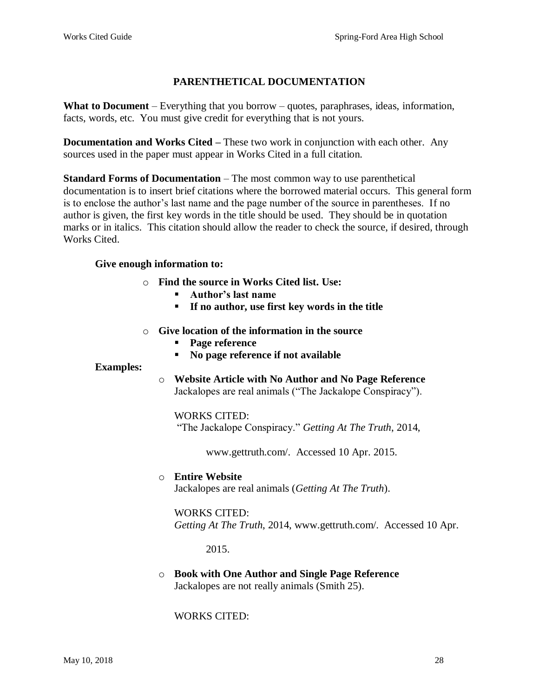## **PARENTHETICAL DOCUMENTATION**

**What to Document** – Everything that you borrow – quotes, paraphrases, ideas, information, facts, words, etc. You must give credit for everything that is not yours.

**Documentation and Works Cited –** These two work in conjunction with each other. Any sources used in the paper must appear in Works Cited in a full citation.

**Standard Forms of Documentation** – The most common way to use parenthetical documentation is to insert brief citations where the borrowed material occurs. This general form is to enclose the author's last name and the page number of the source in parentheses. If no author is given, the first key words in the title should be used. They should be in quotation marks or in italics. This citation should allow the reader to check the source, if desired, through Works Cited.

#### **Give enough information to:**

- o **Find the source in Works Cited list. Use:**
	- **Author's last name**
	- **If no author, use first key words in the title**
- o **Give location of the information in the source**
	- **Page reference**
	- **No page reference if not available**

#### **Examples:**

o **Website Article with No Author and No Page Reference** Jackalopes are real animals ("The Jackalope Conspiracy").

#### WORKS CITED:

"The Jackalope Conspiracy." *Getting At The Truth*, 2014,

www.gettruth.com/. Accessed 10 Apr. 2015.

#### o **Entire Website**

Jackalopes are real animals (*Getting At The Truth*).

#### WORKS CITED:

*Getting At The Truth*, 2014, www.gettruth.com/. Accessed 10 Apr.

2015.

#### o **Book with One Author and Single Page Reference** Jackalopes are not really animals (Smith 25).

WORKS CITED: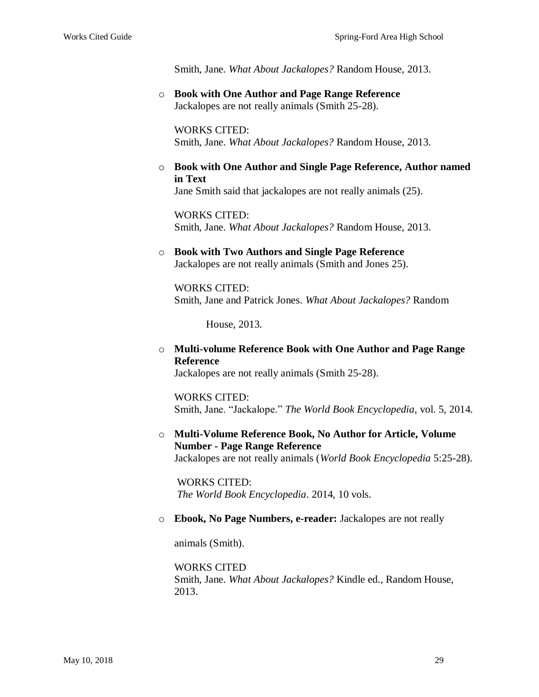Smith, Jane. *What About Jackalopes?* Random House, 2013.

o **Book with One Author and Page Range Reference** Jackalopes are not really animals (Smith 25-28).

WORKS CITED: Smith, Jane. *What About Jackalopes?* Random House, 2013.

o **Book with One Author and Single Page Reference, Author named in Text**

Jane Smith said that jackalopes are not really animals (25).

WORKS CITED: Smith, Jane. *What About Jackalopes?* Random House, 2013.

#### o **Book with Two Authors and Single Page Reference** Jackalopes are not really animals (Smith and Jones 25).

WORKS CITED: Smith, Jane and Patrick Jones. *What About Jackalopes?* Random

House, 2013.

o **Multi-volume Reference Book with One Author and Page Range Reference** Jackalopes are not really animals (Smith 25-28).

WORKS CITED: Smith, Jane. "Jackalope." *The World Book Encyclopedia*, vol. 5, 2014.

o **Multi-Volume Reference Book, No Author for Article, Volume Number - Page Range Reference** Jackalopes are not really animals (*World Book Encyclopedia* 5:25-28).

WORKS CITED: *The World Book Encyclopedia*. 2014, 10 vols.

#### o **Ebook, No Page Numbers, e-reader:** Jackalopes are not really

animals (Smith).

WORKS CITED Smith, Jane. *What About Jackalopes?* Kindle ed., Random House, 2013.